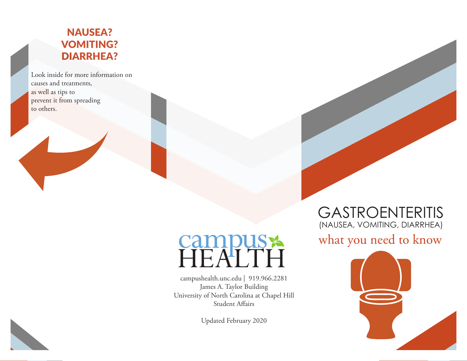### NAUSEA? VOMITING? DIARRHEA?

Look inside for more information on causes and treatments, as well as tips to prevent it from spreading to others.

# Campus

campushealth.unc.edu | 919.966.2281 James A. Taylor Building University of North Carolina at Chapel Hill Student Affairs

Updated February 2020

## GASTROENTERITIS (NAUSEA, VOMITING, DIARRHEA)

## what you need to know